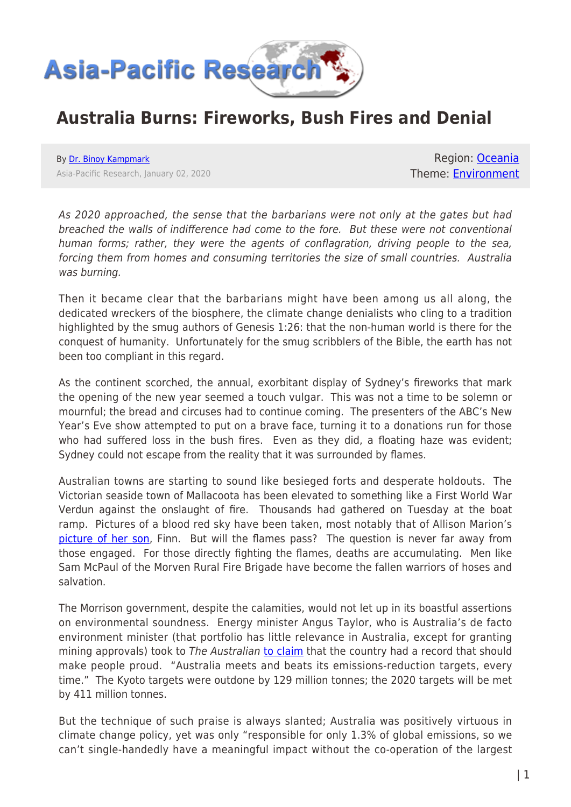

## **Australia Burns: Fireworks, Bush Fires and Denial**

By [Dr. Binoy Kampmark](https://www.asia-pacificresearch.com/author/binoy-kampmark) Asia-Pacific Research, January 02, 2020

Region: [Oceania](https://www.asia-pacificresearch.com/region/as-oceania) Theme: [Environment](https://www.asia-pacificresearch.com/theme/environment)

As 2020 approached, the sense that the barbarians were not only at the gates but had breached the walls of indifference had come to the fore. But these were not conventional human forms; rather, they were the agents of conflagration, driving people to the sea, forcing them from homes and consuming territories the size of small countries. Australia was burning.

Then it became clear that the barbarians might have been among us all along, the dedicated wreckers of the biosphere, the climate change denialists who cling to a tradition highlighted by the smug authors of Genesis 1:26: that the non-human world is there for the conquest of humanity. Unfortunately for the smug scribblers of the Bible, the earth has not been too compliant in this regard.

As the continent scorched, the annual, exorbitant display of Sydney's fireworks that mark the opening of the new year seemed a touch vulgar. This was not a time to be solemn or mournful; the bread and circuses had to continue coming. The presenters of the ABC's New Year's Eve show attempted to put on a brave face, turning it to a donations run for those who had suffered loss in the bush fires. Even as they did, a floating haze was evident; Sydney could not escape from the reality that it was surrounded by flames.

Australian towns are starting to sound like besieged forts and desperate holdouts. The Victorian seaside town of Mallacoota has been elevated to something like a First World War Verdun against the onslaught of fire. Thousands had gathered on Tuesday at the boat ramp. Pictures of a blood red sky have been taken, most notably that of Allison Marion's [picture of her son,](https://www.abc.net.au/news/2020-01-01/victoria-bushfire-child-on-boat-in-mallacoota-allison-marion/11835512) Finn. But will the flames pass? The question is never far away from those engaged. For those directly fighting the flames, deaths are accumulating. Men like Sam McPaul of the Morven Rural Fire Brigade have become the fallen warriors of hoses and salvation.

The Morrison government, despite the calamities, would not let up in its boastful assertions on environmental soundness. Energy minister Angus Taylor, who is Australia's de facto environment minister (that portfolio has little relevance in Australia, except for granting mining approvals) took to The Australian [to claim](https://www.theaustralian.com.au/commentary/we-should-be-proud-of-our-climate-change-efforts/news-story/0dec56da908b04a1a55c69f1631c1b52) that the country had a record that should make people proud. "Australia meets and beats its emissions-reduction targets, every time." The Kyoto targets were outdone by 129 million tonnes; the 2020 targets will be met by 411 million tonnes.

But the technique of such praise is always slanted; Australia was positively virtuous in climate change policy, yet was only "responsible for only 1.3% of global emissions, so we can't single-handedly have a meaningful impact without the co-operation of the largest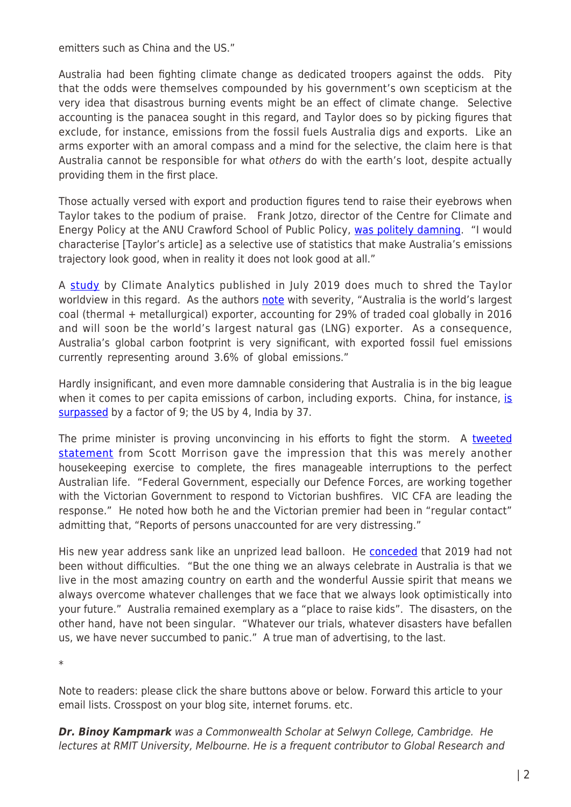emitters such as China and the US."

Australia had been fighting climate change as dedicated troopers against the odds. Pity that the odds were themselves compounded by his government's own scepticism at the very idea that disastrous burning events might be an effect of climate change. Selective accounting is the panacea sought in this regard, and Taylor does so by picking figures that exclude, for instance, emissions from the fossil fuels Australia digs and exports. Like an arms exporter with an amoral compass and a mind for the selective, the claim here is that Australia cannot be responsible for what others do with the earth's loot, despite actually providing them in the first place.

Those actually versed with export and production figures tend to raise their eyebrows when Taylor takes to the podium of praise. Frank Jotzo, director of the Centre for Climate and Energy Policy at the ANU Crawford School of Public Policy, [was politely damning.](https://www.theguardian.com/australia-news/2019/dec/31/fact-checking-angus-taylor-does-australia-have-a-climate-change-record-to-be-proud-of) "I would characterise [Taylor's article] as a selective use of statistics that make Australia's emissions trajectory look good, when in reality it does not look good at all."

A [study](https://climateanalytics.org/publications/2019/evaluating-the-significance-of-australias-global-fossil-fuel-carbon-footprint/) by Climate Analytics published in July 2019 does much to shred the Taylor worldview in this regard. As the authors [note](https://climateanalytics.org/media/australia_carbon_footprint_report_july2019.pdf) with severity, "Australia is the world's largest coal (thermal + metallurgical) exporter, accounting for 29% of traded coal globally in 2016 and will soon be the world's largest natural gas (LNG) exporter. As a consequence, Australia's global carbon footprint is very significant, with exported fossil fuel emissions currently representing around 3.6% of global emissions."

Hardly insignificant, and even more damnable considering that Australia is in the big league when it comes to per capita em[is](https://climateanalytics.org/media/australia_carbon_footprint_report_july2019.pdf)sions of carbon, including exports. China, for instance, is [surpassed](https://climateanalytics.org/media/australia_carbon_footprint_report_july2019.pdf) by a factor of 9; the US by 4, India by 37.

The prime minister is proving unconvincing in his efforts to fight the storm. A [tweeted](https://twitter.com/ScottMorrisonMP/status/1211847114726068229) [statement](https://twitter.com/ScottMorrisonMP/status/1211847114726068229) from Scott Morrison gave the impression that this was merely another housekeeping exercise to complete, the fires manageable interruptions to the perfect Australian life. "Federal Government, especially our Defence Forces, are working together with the Victorian Government to respond to Victorian bushfires. VIC CFA are leading the response." He noted how both he and the Victorian premier had been in "regular contact" admitting that, "Reports of persons unaccounted for are very distressing."

His new year address sank like an unprized lead balloon. He **conceded** that 2019 had not been without difficulties. "But the one thing we an always celebrate in Australia is that we live in the most amazing country on earth and the wonderful Aussie spirit that means we always overcome whatever challenges that we face that we always look optimistically into your future." Australia remained exemplary as a "place to raise kids". The disasters, on the other hand, have not been singular. "Whatever our trials, whatever disasters have befallen us, we have never succumbed to panic." A true man of advertising, to the last.

\*

Note to readers: please click the share buttons above or below. Forward this article to your email lists. Crosspost on your blog site, internet forums. etc.

*Dr. Binoy Kampmark* was a Commonwealth Scholar at Selwyn College, Cambridge. He lectures at RMIT University, Melbourne. He is a frequent contributor to Global Research and